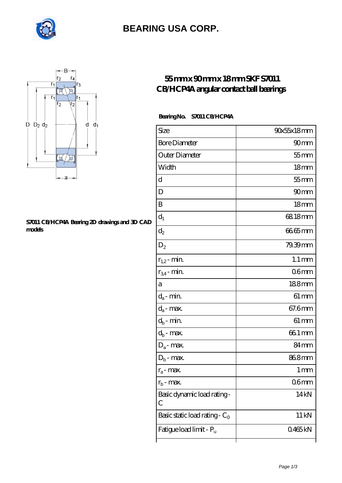

### **[BEARING USA CORP.](https://m.internationalbonsaiforum.com)**



#### **[S7011 CB/HCP4A Bearing 2D drawings and 3D CAD](https://m.internationalbonsaiforum.com/pic-65128373.html) [models](https://m.internationalbonsaiforum.com/pic-65128373.html)**

### **[55 mm x 90 mm x 18 mm SKF S7011](https://m.internationalbonsaiforum.com/skf-s7011-cb-hcp4a-bearing/) [CB/HCP4A angular contact ball bearings](https://m.internationalbonsaiforum.com/skf-s7011-cb-hcp4a-bearing/)**

### **Bearing No. S7011 CB/HCP4A**

| Size                             | 90x55x18mm          |
|----------------------------------|---------------------|
| <b>Bore Diameter</b>             | 90mm                |
| Outer Diameter                   | $55$ mm             |
| Width                            | 18 <sub>mm</sub>    |
| d                                | $55$ mm             |
| D                                | 90 <sub>mm</sub>    |
| B                                | 18 <sub>mm</sub>    |
| $d_1$                            | 68.18mm             |
| $\mathrm{d}_2$                   | 6665mm              |
| $D_2$                            | 79.39mm             |
| $r_{1,2}$ - min.                 | $1.1 \,\mathrm{mm}$ |
| $r_{34}$ - min.                  | 06 <sub>mm</sub>    |
| а                                | 188mm               |
| $d_a$ - min.                     | $61 \, \text{mm}$   |
| $d_{\boldsymbol{a}}$ - max.      | 67.6mm              |
| $d_b$ - min.                     | $61 \,\mathrm{mm}$  |
| $d_b$ - $max$ .                  | 66.1 mm             |
| $D_a$ - max.                     | 84 mm               |
| $D_b$ - max.                     | 868mm               |
| $r_a$ - max.                     | 1 mm                |
| $r_{\rm b}$ - max.               | 06mm                |
| Basic dynamic load rating-<br>С  | 14 <sub>kN</sub>    |
| Basic static load rating - $C_0$ | $11 \,\mathrm{kN}$  |
| Fatigue load limit - Pu          | 0465kN              |
|                                  |                     |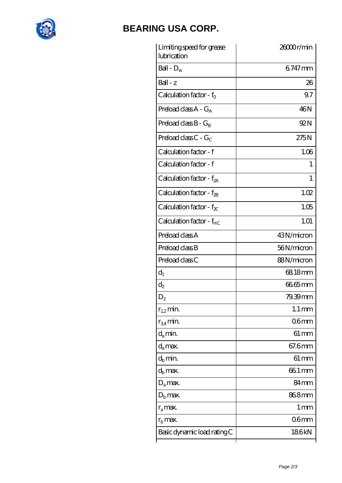

## **[BEARING USA CORP.](https://m.internationalbonsaiforum.com)**

| Limiting speed for grease<br>lubrication | 26000r/min          |
|------------------------------------------|---------------------|
| Ball - $D_w$                             | 6747 mm             |
| $Ball - z$                               | 26                  |
| Calculation factor - $f_0$               | 9.7                 |
| Preload class $A - G_A$                  | 46N                 |
| Preload class $B - G_B$                  | 92 N                |
| Preload class C - $G_C$                  | 275N                |
| Calculation factor - f                   | 1.06                |
| Calculation factor - f                   | 1                   |
| Calculation factor - $f_{2A}$            | 1                   |
| Calculation factor - $f_{\mathcal{B}}$   | 1.02                |
| Calculation factor - $f_{\chi}$          | 1.05                |
| Calculation factor - f <sub>HC</sub>     | 1.01                |
| Preload class A                          | 43N/micron          |
| Preload class B                          | 56N/micron          |
| Preload class C                          | 88N/micron          |
| $d_1$                                    | 68.18mm             |
| $d_2$                                    | 6665mm              |
| $\mathrm{D}_2$                           | 79.39mm             |
| $r_{1,2}$ min.                           | $1.1 \,\mathrm{mm}$ |
| $r_{34}$ min.                            | 06mm                |
| $d_{a}$ min.                             | $61 \,\mathrm{mm}$  |
| $d_a$ max.                               | 67.6mm              |
| $d_h$ min.                               | $61 \,\mathrm{mm}$  |
| $d_h$ max.                               | 66.1 mm             |
| $D_a$ max.                               | 84 <sub>mm</sub>    |
| $D_{\rm b}$ max.                         | 868mm               |
| $r_a$ max.                               | 1 mm                |
| $r_{\rm b}$ max.                         | 06mm                |
| Basic dynamic load rating C              | 186kN               |